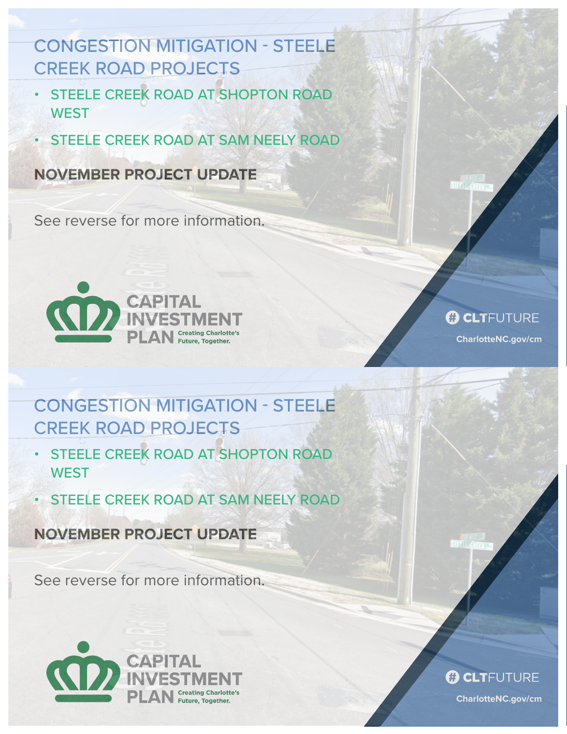# CONGESTION MITIGATION - STEELE CREEK ROAD PROJECTS

- STEELE CREEK ROAD AT SHOPTON ROAD **WEST**
- STEELE CREEK ROAD AT SAM NEELY ROAD

### **NOVEMBER PROJECT UPDATE**

See reverse for more information.



### **B CLTFUTURE**

**CharlotteNC.gov/cm**

# CONGESTION MITIGATION - STEELE CREEK ROAD PROJECTS

- STEELE CREEK ROAD AT SHOPTON ROAD **WEST**
- STEELE CREEK ROAD AT SAM NEELY ROAD

**NOVEMBER PROJECT UPDATE**

See reverse for more information.



#### **B CLT**FUTURE

**CharlotteNC.gov/cm**